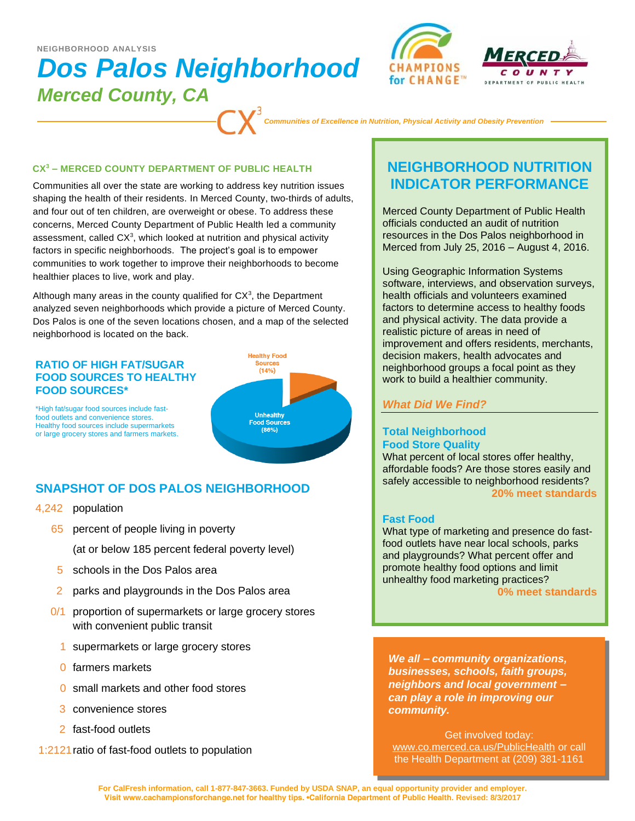### **NEIGHBORHOOD ANALYSIS**

# *Dos Palos Neighborhood Merced County, CA*





*Communities of Excellence in Nutrition, Physical Activity and Obesity Prevention*

#### **CX<sup>3</sup> – MERCED COUNTY DEPARTMENT OF PUBLIC HEALTH**

Communities all over the state are working to address key nutrition issues shaping the health of their residents. In Merced County, two-thirds of adults, and four out of ten children, are overweight or obese. To address these concerns, Merced County Department of Public Health led a community assessment, called  $CX<sup>3</sup>$ , which looked at nutrition and physical activity factors in specific neighborhoods. The project's goal is to empower communities to work together to improve their neighborhoods to become healthier places to live, work and play.

Although many areas in the county qualified for  $CX<sup>3</sup>$ , the Department analyzed seven neighborhoods which provide a picture of Merced County. Dos Palos is one of the seven locations chosen, and a map of the selected neighborhood is located on the back.

### **RATIO OF HIGH FAT/SUGAR FOOD SOURCES TO HEALTHY FOOD SOURCES\***



\*High fat/sugar food sources include fastfood outlets and convenience stores. Healthy food sources include supermarkets or large grocery stores and farmers markets.

# **SNAPSHOT OF DOS PALOS NEIGHBORHOOD**

- 4,242 population
	- 65 percent of people living in poverty
		- (at or below 185 percent federal poverty level)
	- 5 schools in the Dos Palos area
	- 2 parks and playgrounds in the Dos Palos area
	- 0/1 proportion of supermarkets or large grocery stores with convenient public transit
		- 1 supermarkets or large grocery stores
		- 0 farmers markets
		- 0 small markets and other food stores
		- 3 convenience stores
		- 2 fast-food outlets
- 1:2121ratio of fast-food outlets to population

# **NEIGHBORHOOD NUTRITION INDICATOR PERFORMANCE**

Merced County Department of Public Health officials conducted an audit of nutrition resources in the Dos Palos neighborhood in Merced from July 25, 2016 – August 4, 2016.

Using Geographic Information Systems software, interviews, and observation surveys, health officials and volunteers examined factors to determine access to healthy foods and physical activity. The data provide a realistic picture of areas in need of improvement and offers residents, merchants, decision makers, health advocates and neighborhood groups a focal point as they work to build a healthier community.

# *What Did We Find?*

## **Total Neighborhood Food Store Quality**

What percent of local stores offer healthy, affordable foods? Are those stores easily and safely accessible to neighborhood residents? **20% meet standards**

## **Fast Food**

What type of marketing and presence do fastfood outlets have near local schools, parks and playgrounds? What percent offer and promote healthy food options and limit unhealthy food marketing practices?

**0% meet standards**

*We all – community organizations, businesses, schools, faith groups, neighbors and local government – can play a role in improving our community.* 

Get involved today: www.co.merced.ca.us/PublicHealth or call the Health Department at (209) 381-1161